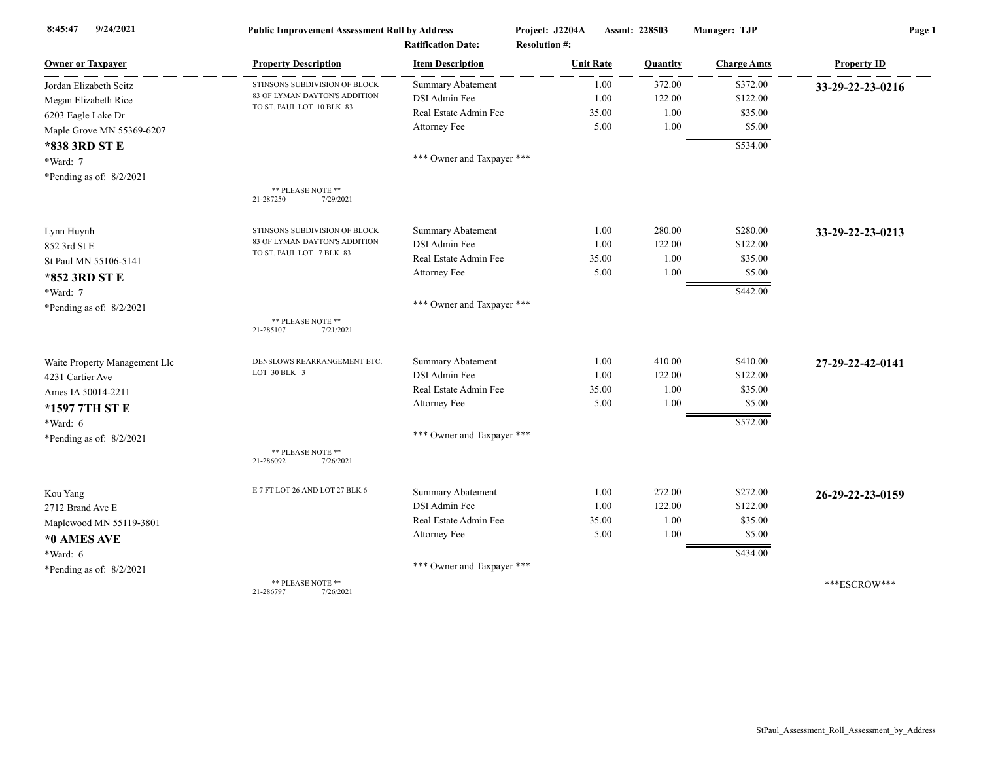| 9/24/2021<br>8:45:47          | <b>Public Improvement Assessment Roll by Address</b><br><b>Ratification Date:</b> |                            | Project: J2204A<br><b>Resolution #:</b> | Assmt: 228503 |          | Manager: TJP       | Page 1             |  |
|-------------------------------|-----------------------------------------------------------------------------------|----------------------------|-----------------------------------------|---------------|----------|--------------------|--------------------|--|
| <b>Owner or Taxpayer</b>      | <b>Property Description</b>                                                       | <b>Item Description</b>    | <b>Unit Rate</b>                        |               | Quantity | <b>Charge Amts</b> | <b>Property ID</b> |  |
| Jordan Elizabeth Seitz        | STINSONS SUBDIVISION OF BLOCK                                                     | <b>Summary Abatement</b>   |                                         | 1.00          | 372.00   | \$372.00           | 33-29-22-23-0216   |  |
| Megan Elizabeth Rice          | 83 OF LYMAN DAYTON'S ADDITION                                                     | DSI Admin Fee              |                                         | 1.00          | 122.00   | \$122.00           |                    |  |
| 6203 Eagle Lake Dr            | TO ST. PAUL LOT 10 BLK 83                                                         | Real Estate Admin Fee      |                                         | 35.00         | 1.00     | \$35.00            |                    |  |
| Maple Grove MN 55369-6207     |                                                                                   | Attorney Fee               |                                         | 5.00          | 1.00     | \$5.00             |                    |  |
| *838 3RD ST E                 |                                                                                   |                            |                                         |               |          | \$534.00           |                    |  |
| *Ward: 7                      |                                                                                   | *** Owner and Taxpayer *** |                                         |               |          |                    |                    |  |
| *Pending as of: 8/2/2021      |                                                                                   |                            |                                         |               |          |                    |                    |  |
|                               | ** PLEASE NOTE **<br>21-287250<br>7/29/2021                                       |                            |                                         |               |          |                    |                    |  |
| Lynn Huynh                    | STINSONS SUBDIVISION OF BLOCK                                                     | Summary Abatement          |                                         | 1.00          | 280.00   | \$280.00           | 33-29-22-23-0213   |  |
| 852 3rd St E                  | 83 OF LYMAN DAYTON'S ADDITION                                                     | DSI Admin Fee              |                                         | 1.00          | 122.00   | \$122.00           |                    |  |
| St Paul MN 55106-5141         | TO ST. PAUL LOT 7 BLK 83                                                          | Real Estate Admin Fee      |                                         | 35.00         | 1.00     | \$35.00            |                    |  |
| *852 3RD ST E                 |                                                                                   | Attorney Fee               |                                         | 5.00          | 1.00     | \$5.00             |                    |  |
| *Ward: 7                      |                                                                                   |                            |                                         |               |          | \$442.00           |                    |  |
| *Pending as of: 8/2/2021      |                                                                                   | *** Owner and Taxpayer *** |                                         |               |          |                    |                    |  |
|                               | ** PLEASE NOTE **<br>21-285107<br>7/21/2021                                       |                            |                                         |               |          |                    |                    |  |
| Waite Property Management Llc | DENSLOWS REARRANGEMENT ETC.                                                       | <b>Summary Abatement</b>   |                                         | 1.00          | 410.00   | \$410.00           | 27-29-22-42-0141   |  |
| 4231 Cartier Ave              | LOT 30 BLK 3                                                                      | DSI Admin Fee              |                                         | 1.00          | 122.00   | \$122.00           |                    |  |
| Ames IA 50014-2211            |                                                                                   | Real Estate Admin Fee      |                                         | 35.00         | 1.00     | \$35.00            |                    |  |
| *1597 7TH ST E                |                                                                                   | Attorney Fee               |                                         | 5.00          | 1.00     | \$5.00             |                    |  |
| *Ward: 6                      |                                                                                   |                            |                                         |               |          | \$572.00           |                    |  |
| *Pending as of: $8/2/2021$    |                                                                                   | *** Owner and Taxpayer *** |                                         |               |          |                    |                    |  |
|                               | ** PLEASE NOTE **<br>21-286092<br>7/26/2021                                       |                            |                                         |               |          |                    |                    |  |
| Kou Yang                      | E 7 FT LOT 26 AND LOT 27 BLK 6                                                    | <b>Summary Abatement</b>   |                                         | 1.00          | 272.00   | \$272.00           | 26-29-22-23-0159   |  |
| 2712 Brand Ave E              |                                                                                   | DSI Admin Fee              |                                         | 1.00          | 122.00   | \$122.00           |                    |  |
| Maplewood MN 55119-3801       |                                                                                   | Real Estate Admin Fee      |                                         | 35.00         | 1.00     | \$35.00            |                    |  |
| *0 AMES AVE                   |                                                                                   | Attorney Fee               |                                         | 5.00          | 1.00     | \$5.00             |                    |  |
| *Ward: 6                      |                                                                                   |                            |                                         |               |          | \$434.00           |                    |  |
| *Pending as of: 8/2/2021      |                                                                                   | *** Owner and Taxpayer *** |                                         |               |          |                    |                    |  |
|                               | ** PLEASE NOTE **<br>21-286797<br>7/26/2021                                       |                            |                                         |               |          |                    | ***ESCROW***       |  |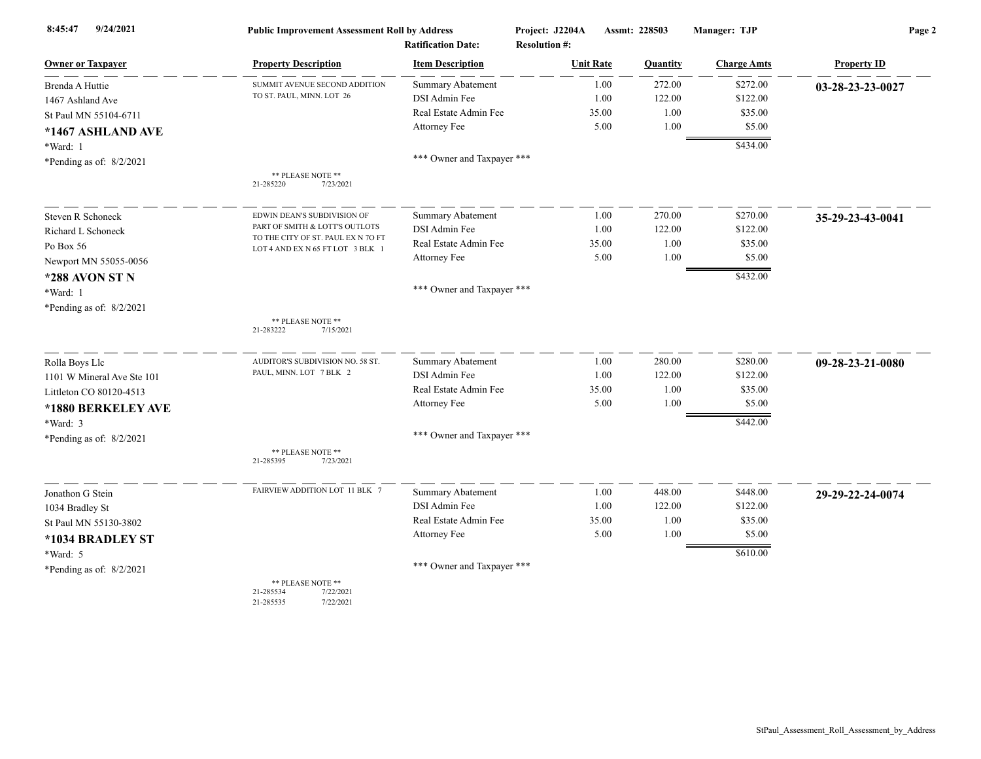| 9/24/2021<br>8:45:47       | <b>Public Improvement Assessment Roll by Address</b><br><b>Ratification Date:</b> |                                           | Project: J2204A<br><b>Resolution #:</b> | Assmt: 228503    | Manager: TJP         | Page 2             |  |
|----------------------------|-----------------------------------------------------------------------------------|-------------------------------------------|-----------------------------------------|------------------|----------------------|--------------------|--|
| <b>Owner or Taxpayer</b>   | <b>Property Description</b>                                                       | <b>Item Description</b>                   | <b>Unit Rate</b>                        | Quantity         | <b>Charge Amts</b>   | <b>Property ID</b> |  |
| Brenda A Huttie            | SUMMIT AVENUE SECOND ADDITION                                                     | <b>Summary Abatement</b>                  | 1.00                                    | 272.00           | \$272.00             | 03-28-23-23-0027   |  |
| 1467 Ashland Ave           | TO ST. PAUL, MINN. LOT 26                                                         | DSI Admin Fee                             | 1.00                                    | 122.00           | \$122.00             |                    |  |
| St Paul MN 55104-6711      |                                                                                   | Real Estate Admin Fee                     | 35.00                                   | 1.00             | \$35.00              |                    |  |
| *1467 ASHLAND AVE          |                                                                                   | Attorney Fee                              | 5.00                                    | 1.00             | \$5.00               |                    |  |
| *Ward: 1                   |                                                                                   |                                           |                                         |                  | \$434.00             |                    |  |
| *Pending as of: $8/2/2021$ |                                                                                   | *** Owner and Taxpayer ***                |                                         |                  |                      |                    |  |
|                            | ** PLEASE NOTE **<br>21-285220<br>7/23/2021                                       |                                           |                                         |                  |                      |                    |  |
|                            |                                                                                   |                                           |                                         |                  |                      |                    |  |
| <b>Steven R Schoneck</b>   | EDWIN DEAN'S SUBDIVISION OF<br>PART OF SMITH & LOTT'S OUTLOTS                     | <b>Summary Abatement</b><br>DSI Admin Fee | 1.00                                    | 270.00<br>122.00 | \$270.00<br>\$122.00 | 35-29-23-43-0041   |  |
| Richard L Schoneck         | TO THE CITY OF ST. PAUL EX N 7O FT                                                | Real Estate Admin Fee                     | 1.00<br>35.00                           | 1.00             | \$35.00              |                    |  |
| Po Box 56                  | LOT 4 AND EX N 65 FT LOT 3 BLK 1                                                  | Attorney Fee                              | 5.00                                    | 1.00             | \$5.00               |                    |  |
| Newport MN 55055-0056      |                                                                                   |                                           |                                         |                  |                      |                    |  |
| *288 AVON ST N             |                                                                                   |                                           |                                         |                  | \$432.00             |                    |  |
| *Ward: 1                   |                                                                                   | *** Owner and Taxpayer ***                |                                         |                  |                      |                    |  |
| *Pending as of: 8/2/2021   |                                                                                   |                                           |                                         |                  |                      |                    |  |
|                            | ** PLEASE NOTE **<br>21-283222<br>7/15/2021                                       |                                           |                                         |                  |                      |                    |  |
| Rolla Boys Llc             | AUDITOR'S SUBDIVISION NO. 58 ST.                                                  | <b>Summary Abatement</b>                  | 1.00                                    | 280.00           | \$280.00             | 09-28-23-21-0080   |  |
| 1101 W Mineral Ave Ste 101 | PAUL, MINN. LOT 7 BLK 2                                                           | DSI Admin Fee                             | 1.00                                    | 122.00           | \$122.00             |                    |  |
| Littleton CO 80120-4513    |                                                                                   | Real Estate Admin Fee                     | 35.00                                   | 1.00             | \$35.00              |                    |  |
| *1880 BERKELEY AVE         |                                                                                   | Attorney Fee                              | 5.00                                    | 1.00             | \$5.00               |                    |  |
| *Ward: 3                   |                                                                                   |                                           |                                         |                  | \$442.00             |                    |  |
| *Pending as of: 8/2/2021   |                                                                                   | *** Owner and Taxpayer ***                |                                         |                  |                      |                    |  |
|                            | ** PLEASE NOTE **<br>21-285395<br>7/23/2021                                       |                                           |                                         |                  |                      |                    |  |
| Jonathon G Stein           | FAIRVIEW ADDITION LOT 11 BLK 7                                                    | <b>Summary Abatement</b>                  | 1.00                                    | 448.00           | \$448.00             | 29-29-22-24-0074   |  |
| 1034 Bradley St            |                                                                                   | DSI Admin Fee                             | 1.00                                    | 122.00           | \$122.00             |                    |  |
| St Paul MN 55130-3802      |                                                                                   | Real Estate Admin Fee                     | 35.00                                   | 1.00             | \$35.00              |                    |  |
| *1034 BRADLEY ST           |                                                                                   | Attorney Fee                              | 5.00                                    | 1.00             | \$5.00               |                    |  |
| *Ward: 5                   |                                                                                   |                                           |                                         |                  | \$610.00             |                    |  |
| *Pending as of: $8/2/2021$ |                                                                                   | *** Owner and Taxpayer ***                |                                         |                  |                      |                    |  |
|                            | ** PLEASE NOTE **<br>21-285534<br>7/22/2021<br>7/22/2021<br>21-285535             |                                           |                                         |                  |                      |                    |  |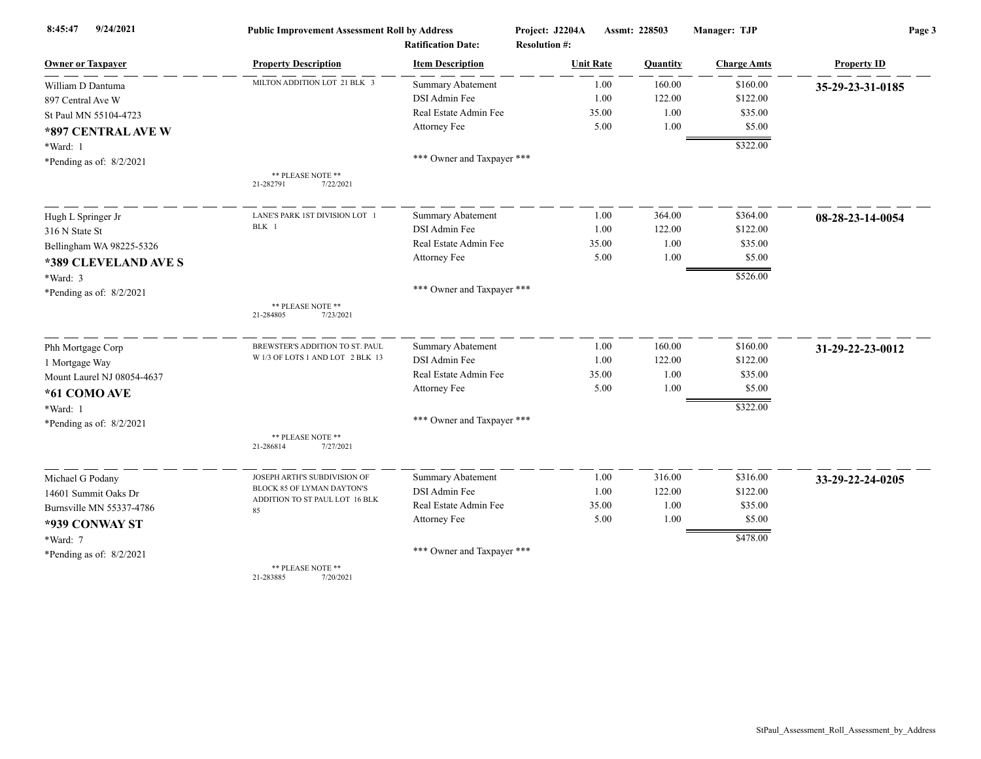| 9/24/2021<br>8:45:47       | <b>Public Improvement Assessment Roll by Address</b> |                            | Project: J2204A      | Manager: TJP<br>Assmt: 228503 |                    | Page 3             |  |
|----------------------------|------------------------------------------------------|----------------------------|----------------------|-------------------------------|--------------------|--------------------|--|
|                            |                                                      | <b>Ratification Date:</b>  | <b>Resolution #:</b> |                               |                    |                    |  |
| <b>Owner or Taxpayer</b>   | <b>Property Description</b>                          | <b>Item Description</b>    | <b>Unit Rate</b>     | Quantity                      | <b>Charge Amts</b> | <b>Property ID</b> |  |
| William D Dantuma          | MILTON ADDITION LOT 21 BLK 3                         | <b>Summary Abatement</b>   | 1.00                 | 160.00                        | \$160.00           | 35-29-23-31-0185   |  |
| 897 Central Ave W          |                                                      | DSI Admin Fee              | 1.00                 | 122.00                        | \$122.00           |                    |  |
| St Paul MN 55104-4723      |                                                      | Real Estate Admin Fee      | 35.00                | 1.00                          | \$35.00            |                    |  |
| *897 CENTRAL AVE W         |                                                      | Attorney Fee               | 5.00                 | 1.00                          | \$5.00             |                    |  |
| *Ward: 1                   |                                                      |                            |                      |                               | \$322.00           |                    |  |
| *Pending as of: $8/2/2021$ |                                                      | *** Owner and Taxpayer *** |                      |                               |                    |                    |  |
|                            | ** PLEASE NOTE **<br>21-282791<br>7/22/2021          |                            |                      |                               |                    |                    |  |
| Hugh L Springer Jr         | LANE'S PARK 1ST DIVISION LOT 1                       | <b>Summary Abatement</b>   | 1.00                 | 364.00                        | \$364.00           | 08-28-23-14-0054   |  |
| 316 N State St             | BLK 1                                                | DSI Admin Fee              | 1.00                 | 122.00                        | \$122.00           |                    |  |
| Bellingham WA 98225-5326   |                                                      | Real Estate Admin Fee      | 35.00                | 1.00                          | \$35.00            |                    |  |
| *389 CLEVELAND AVE S       |                                                      | Attorney Fee               | 5.00                 | 1.00                          | \$5.00             |                    |  |
| *Ward: 3                   |                                                      |                            |                      |                               | \$526.00           |                    |  |
| *Pending as of: $8/2/2021$ |                                                      | *** Owner and Taxpayer *** |                      |                               |                    |                    |  |
|                            | ** PLEASE NOTE **<br>21-284805<br>7/23/2021          |                            |                      |                               |                    |                    |  |
| Phh Mortgage Corp          | BREWSTER'S ADDITION TO ST. PAUL                      | <b>Summary Abatement</b>   | 1.00                 | 160.00                        | \$160.00           | 31-29-22-23-0012   |  |
| 1 Mortgage Way             | W 1/3 OF LOTS 1 AND LOT 2 BLK 13                     | DSI Admin Fee              | 1.00                 | 122.00                        | \$122.00           |                    |  |
| Mount Laurel NJ 08054-4637 |                                                      | Real Estate Admin Fee      | 35.00                | 1.00                          | \$35.00            |                    |  |
| *61 COMO AVE               |                                                      | Attorney Fee               | 5.00                 | 1.00                          | \$5.00             |                    |  |
| *Ward: 1                   |                                                      |                            |                      |                               | \$322.00           |                    |  |
| *Pending as of: $8/2/2021$ |                                                      | *** Owner and Taxpayer *** |                      |                               |                    |                    |  |
|                            | ** PLEASE NOTE **<br>7/27/2021<br>21-286814          |                            |                      |                               |                    |                    |  |
| Michael G Podany           | JOSEPH ARTH'S SUBDIVISION OF                         | <b>Summary Abatement</b>   | 1.00                 | 316.00                        | \$316.00           | 33-29-22-24-0205   |  |
| 14601 Summit Oaks Dr       | BLOCK 85 OF LYMAN DAYTON'S                           | DSI Admin Fee              | 1.00                 | 122.00                        | \$122.00           |                    |  |
| Burnsville MN 55337-4786   | ADDITION TO ST PAUL LOT 16 BLK<br>85                 | Real Estate Admin Fee      | 35.00                | 1.00                          | \$35.00            |                    |  |
| *939 CONWAY ST             |                                                      | Attorney Fee               | 5.00                 | 1.00                          | \$5.00             |                    |  |
| *Ward: 7                   |                                                      |                            |                      |                               | \$478.00           |                    |  |
| *Pending as of: $8/2/2021$ |                                                      | *** Owner and Taxpayer *** |                      |                               |                    |                    |  |
|                            | ** PLEASE NOTE **                                    |                            |                      |                               |                    |                    |  |

21-283885 7/20/2021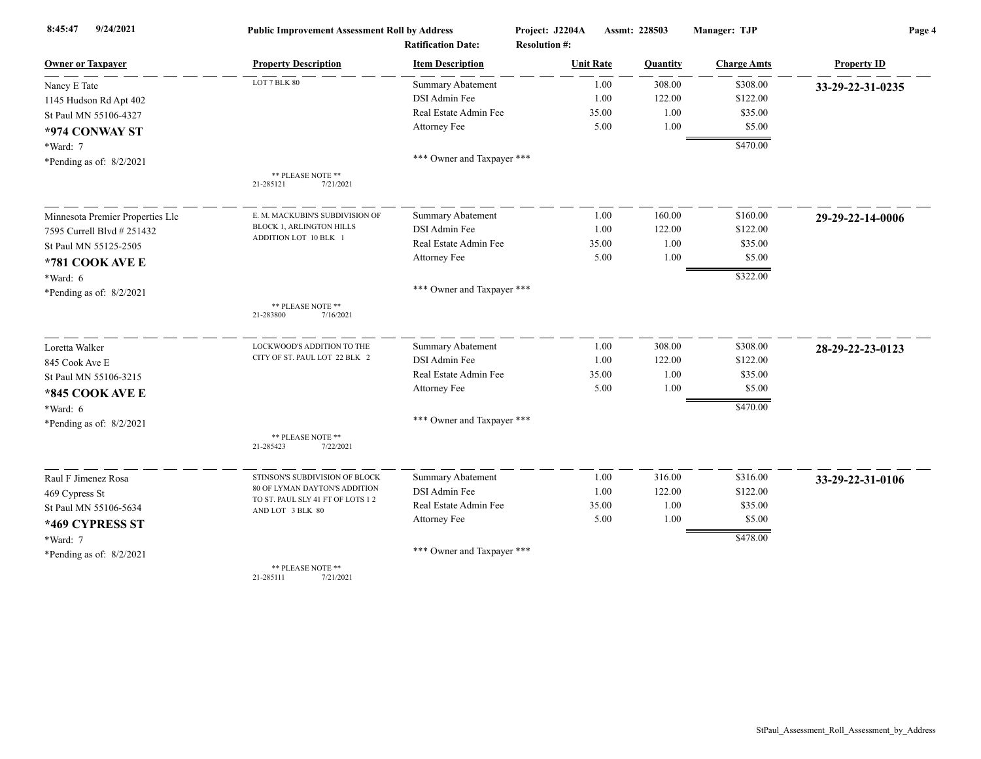| 9/24/2021<br>8:45:47             | <b>Public Improvement Assessment Roll by Address</b><br><b>Ratification Date:</b> |                            | Project: J2204A<br><b>Resolution #:</b> | Assmt: 228503 | Manager: TJP           | Page 4             |  |
|----------------------------------|-----------------------------------------------------------------------------------|----------------------------|-----------------------------------------|---------------|------------------------|--------------------|--|
| <b>Owner or Taxpayer</b>         | <b>Property Description</b>                                                       | <b>Item Description</b>    | <b>Unit Rate</b>                        | Quantity      | <b>Charge Amts</b>     | <b>Property ID</b> |  |
| Nancy E Tate                     | LOT 7 BLK 80                                                                      | <b>Summary Abatement</b>   | 1.00                                    | 308.00        | \$308.00               | 33-29-22-31-0235   |  |
| 1145 Hudson Rd Apt 402           |                                                                                   | DSI Admin Fee              | 1.00                                    | 122.00        | \$122.00               |                    |  |
| St Paul MN 55106-4327            |                                                                                   | Real Estate Admin Fee      | 35.00                                   | 1.00          | \$35.00                |                    |  |
| *974 CONWAY ST                   |                                                                                   | Attorney Fee               | 5.00                                    | 1.00          | \$5.00                 |                    |  |
| *Ward: 7                         |                                                                                   |                            |                                         |               | \$470.00               |                    |  |
| *Pending as of: $8/2/2021$       |                                                                                   | *** Owner and Taxpayer *** |                                         |               |                        |                    |  |
|                                  | ** PLEASE NOTE **<br>7/21/2021<br>21-285121                                       |                            |                                         |               |                        |                    |  |
| Minnesota Premier Properties Llc | E. M. MACKUBIN'S SUBDIVISION OF                                                   | <b>Summary Abatement</b>   | 1.00                                    | 160.00        | \$160.00               | 29-29-22-14-0006   |  |
| 7595 Currell Blvd # 251432       | <b>BLOCK 1, ARLINGTON HILLS</b>                                                   | DSI Admin Fee              | 1.00                                    | 122.00        | \$122.00               |                    |  |
| St Paul MN 55125-2505            | ADDITION LOT 10 BLK 1                                                             | Real Estate Admin Fee      | 35.00                                   | 1.00          | \$35.00                |                    |  |
| *781 COOK AVE E                  |                                                                                   | Attorney Fee               | 5.00                                    | 1.00          | \$5.00                 |                    |  |
| $*Ward: 6$                       |                                                                                   |                            |                                         |               | \$322.00               |                    |  |
| *Pending as of: $8/2/2021$       |                                                                                   | *** Owner and Taxpayer *** |                                         |               |                        |                    |  |
|                                  | ** PLEASE NOTE **<br>21-283800<br>7/16/2021                                       |                            |                                         |               |                        |                    |  |
| Loretta Walker                   | LOCKWOOD'S ADDITION TO THE                                                        | <b>Summary Abatement</b>   | 1.00                                    | 308.00        | \$308.00               | 28-29-22-23-0123   |  |
| 845 Cook Ave E                   | CITY OF ST. PAUL LOT 22 BLK 2                                                     | DSI Admin Fee              | 1.00                                    | 122.00        | \$122.00               |                    |  |
| St Paul MN 55106-3215            |                                                                                   | Real Estate Admin Fee      | 35.00                                   | 1.00          | \$35.00                |                    |  |
| *845 COOK AVE E                  |                                                                                   | Attorney Fee               | 5.00                                    | 1.00          | \$5.00                 |                    |  |
| $*Ward: 6$                       |                                                                                   |                            |                                         |               | \$470.00               |                    |  |
| *Pending as of: 8/2/2021         |                                                                                   | *** Owner and Taxpayer *** |                                         |               |                        |                    |  |
|                                  | ** PLEASE NOTE **<br>21-285423<br>7/22/2021                                       |                            |                                         |               |                        |                    |  |
| Raul F Jimenez Rosa              | STINSON'S SUBDIVISION OF BLOCK                                                    | <b>Summary Abatement</b>   | 1.00                                    | 316.00        | \$316.00               | 33-29-22-31-0106   |  |
| 469 Cypress St                   | 80 OF LYMAN DAYTON'S ADDITION                                                     | DSI Admin Fee              | 1.00                                    | 122.00        | \$122.00               |                    |  |
| St Paul MN 55106-5634            | TO ST. PAUL SLY 41 FT OF LOTS 12                                                  | Real Estate Admin Fee      | 35.00                                   | 1.00          | \$35.00                |                    |  |
| *469 CYPRESS ST                  | AND LOT 3 BLK 80                                                                  | Attorney Fee               | 5.00                                    | 1.00          | \$5.00                 |                    |  |
| *Ward: 7                         |                                                                                   |                            |                                         |               | $\frac{1}{1}$ \$478.00 |                    |  |
| *Pending as of: $8/2/2021$       |                                                                                   | *** Owner and Taxpayer *** |                                         |               |                        |                    |  |
|                                  | ** PLEASE NOTE **                                                                 |                            |                                         |               |                        |                    |  |

21-285111 7/21/2021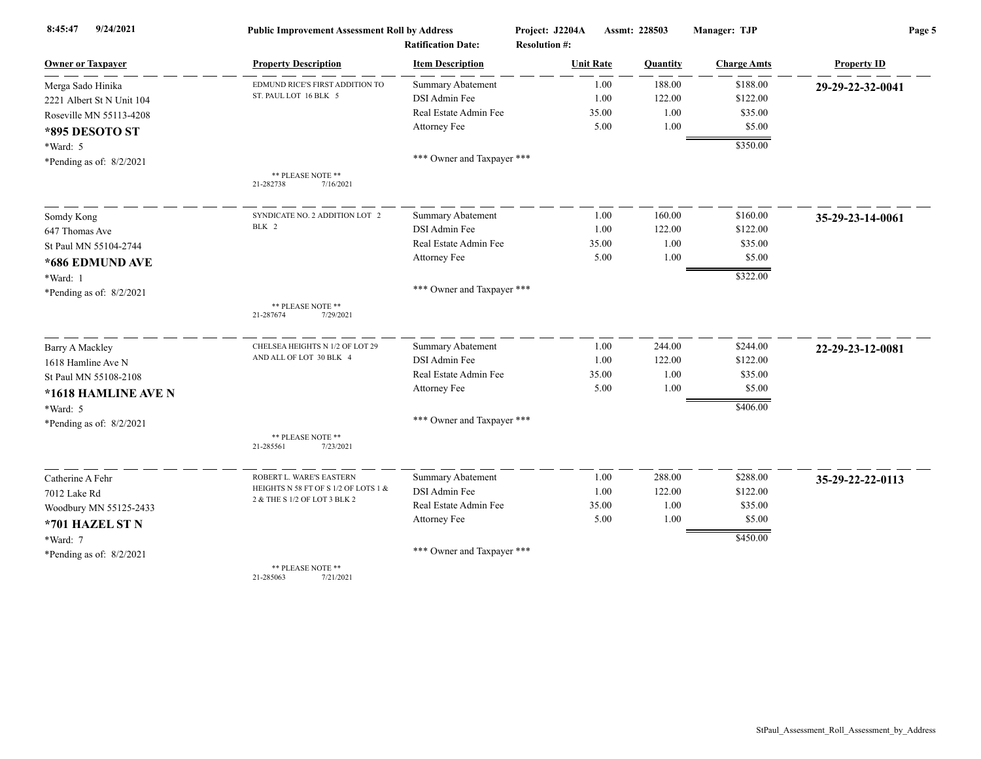| 9/24/2021<br>8:45:47       | <b>Public Improvement Assessment Roll by Address</b> |                            | Project: J2204A      | Assmt: 228503 | Manager: TJP       | Page 5             |  |
|----------------------------|------------------------------------------------------|----------------------------|----------------------|---------------|--------------------|--------------------|--|
|                            |                                                      | <b>Ratification Date:</b>  | <b>Resolution #:</b> |               |                    |                    |  |
| <b>Owner or Taxpayer</b>   | <b>Property Description</b>                          | <b>Item Description</b>    | <b>Unit Rate</b>     | Quantity      | <b>Charge Amts</b> | <b>Property ID</b> |  |
| Merga Sado Hinika          | EDMUND RICE'S FIRST ADDITION TO                      | <b>Summary Abatement</b>   | 1.00                 | 188.00        | \$188.00           | 29-29-22-32-0041   |  |
| 2221 Albert St N Unit 104  | ST. PAUL LOT 16 BLK 5                                | DSI Admin Fee              | 1.00                 | 122.00        | \$122.00           |                    |  |
| Roseville MN 55113-4208    |                                                      | Real Estate Admin Fee      | 35.00                | 1.00          | \$35.00            |                    |  |
| *895 DESOTO ST             |                                                      | Attorney Fee               | 5.00                 | 1.00          | \$5.00             |                    |  |
| *Ward: 5                   |                                                      |                            |                      |               | \$350.00           |                    |  |
| *Pending as of: $8/2/2021$ |                                                      | *** Owner and Taxpayer *** |                      |               |                    |                    |  |
|                            | ** PLEASE NOTE **<br>21-282738<br>7/16/2021          |                            |                      |               |                    |                    |  |
| Somdy Kong                 | SYNDICATE NO. 2 ADDITION LOT 2                       | <b>Summary Abatement</b>   | 1.00                 | 160.00        | \$160.00           | 35-29-23-14-0061   |  |
| 647 Thomas Ave             | BLK 2                                                | DSI Admin Fee              | 1.00                 | 122.00        | \$122.00           |                    |  |
| St Paul MN 55104-2744      |                                                      | Real Estate Admin Fee      | 35.00                | 1.00          | \$35.00            |                    |  |
| *686 EDMUND AVE            |                                                      | Attorney Fee               | 5.00                 | 1.00          | \$5.00             |                    |  |
| *Ward: 1                   |                                                      |                            |                      |               | \$322.00           |                    |  |
| *Pending as of: 8/2/2021   |                                                      | *** Owner and Taxpayer *** |                      |               |                    |                    |  |
|                            | ** PLEASE NOTE **<br>21-287674<br>7/29/2021          |                            |                      |               |                    |                    |  |
| <b>Barry A Mackley</b>     | CHELSEA HEIGHTS N 1/2 OF LOT 29                      | Summary Abatement          | 1.00                 | 244.00        | \$244.00           | 22-29-23-12-0081   |  |
| 1618 Hamline Ave N         | AND ALL OF LOT 30 BLK 4                              | DSI Admin Fee              | 1.00                 | 122.00        | \$122.00           |                    |  |
| St Paul MN 55108-2108      |                                                      | Real Estate Admin Fee      | 35.00                | 1.00          | \$35.00            |                    |  |
| *1618 HAMLINE AVE N        |                                                      | Attorney Fee               | 5.00                 | 1.00          | \$5.00             |                    |  |
| *Ward: 5                   |                                                      |                            |                      |               | \$406.00           |                    |  |
| *Pending as of: $8/2/2021$ |                                                      | *** Owner and Taxpayer *** |                      |               |                    |                    |  |
|                            | ** PLEASE NOTE **<br>21-285561<br>7/23/2021          |                            |                      |               |                    |                    |  |
| Catherine A Fehr           | ROBERT L. WARE'S EASTERN                             | Summary Abatement          | 1.00                 | 288.00        | \$288.00           | 35-29-22-22-0113   |  |
| 7012 Lake Rd               | HEIGHTS N 58 FT OF S 1/2 OF LOTS 1 &                 | DSI Admin Fee              | 1.00                 | 122.00        | \$122.00           |                    |  |
| Woodbury MN 55125-2433     | 2 & THE S 1/2 OF LOT 3 BLK 2                         | Real Estate Admin Fee      | 35.00                | 1.00          | \$35.00            |                    |  |
| *701 HAZEL ST N            |                                                      | Attorney Fee               | 5.00                 | 1.00          | \$5.00             |                    |  |
| *Ward: 7                   |                                                      |                            |                      |               | \$450.00           |                    |  |
| *Pending as of: $8/2/2021$ |                                                      | *** Owner and Taxpayer *** |                      |               |                    |                    |  |
|                            | ** PLEASE NOTE **                                    |                            |                      |               |                    |                    |  |

21-285063 7/21/2021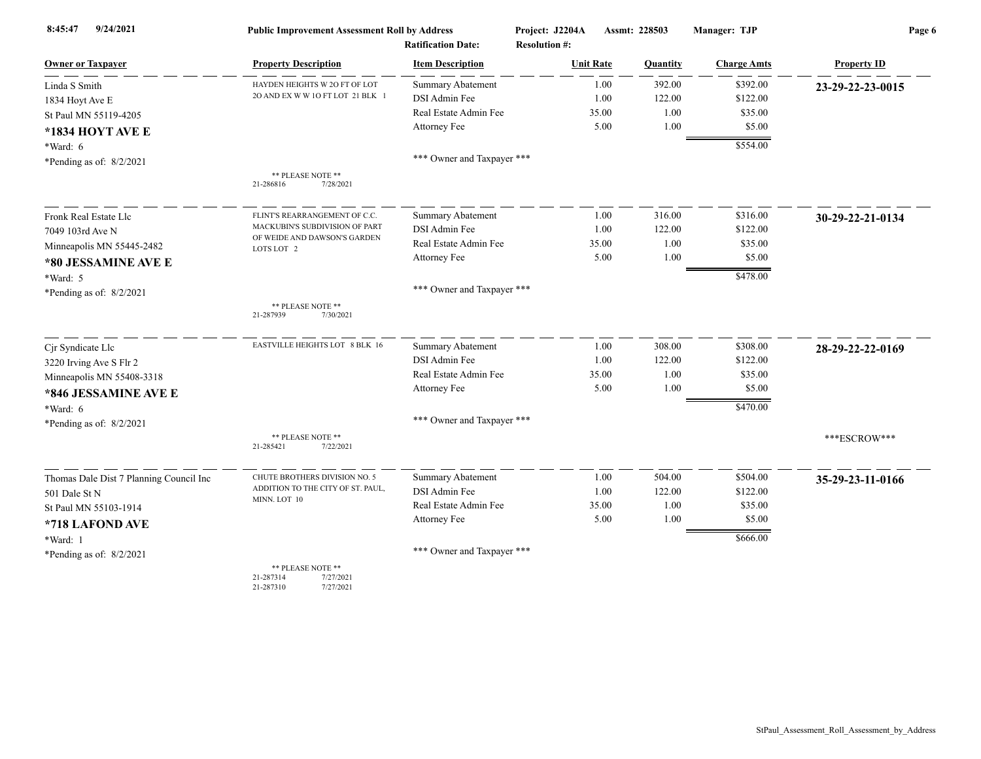| 9/24/2021<br>8:45:47                    | <b>Public Improvement Assessment Roll by Address</b>                  |                                                      | Project: J2204A                          | Assmt: 228503 |          | Manager: TJP       | Page 6             |  |
|-----------------------------------------|-----------------------------------------------------------------------|------------------------------------------------------|------------------------------------------|---------------|----------|--------------------|--------------------|--|
| <b>Owner or Taxpayer</b>                | <b>Property Description</b>                                           | <b>Ratification Date:</b><br><b>Item Description</b> | <b>Resolution #:</b><br><b>Unit Rate</b> |               | Quantity | <b>Charge Amts</b> | <b>Property ID</b> |  |
| Linda S Smith                           | HAYDEN HEIGHTS W 2O FT OF LOT                                         | <b>Summary Abatement</b>                             |                                          | 1.00          | 392.00   | \$392.00           | 23-29-22-23-0015   |  |
| 1834 Hoyt Ave E                         | 20 AND EX W W 10 FT LOT 21 BLK 1                                      | DSI Admin Fee                                        |                                          | 1.00          | 122.00   | \$122.00           |                    |  |
| St Paul MN 55119-4205                   |                                                                       | Real Estate Admin Fee                                |                                          | 35.00         | 1.00     | \$35.00            |                    |  |
| *1834 HOYT AVE E                        |                                                                       | Attorney Fee                                         |                                          | 5.00          | 1.00     | \$5.00             |                    |  |
| *Ward: 6                                |                                                                       |                                                      |                                          |               |          | \$554.00           |                    |  |
| *Pending as of: 8/2/2021                |                                                                       | *** Owner and Taxpayer ***                           |                                          |               |          |                    |                    |  |
|                                         | ** PLEASE NOTE **<br>21-286816<br>7/28/2021                           |                                                      |                                          |               |          |                    |                    |  |
| Fronk Real Estate Llc                   | FLINT'S REARRANGEMENT OF C.C.                                         | <b>Summary Abatement</b>                             |                                          | 1.00          | 316.00   | \$316.00           | 30-29-22-21-0134   |  |
| 7049 103rd Ave N                        | MACKUBIN'S SUBDIVISION OF PART                                        | DSI Admin Fee                                        |                                          | 1.00          | 122.00   | \$122.00           |                    |  |
| Minneapolis MN 55445-2482               | OF WEIDE AND DAWSON'S GARDEN<br>LOTS LOT 2                            | Real Estate Admin Fee                                |                                          | 35.00         | 1.00     | \$35.00            |                    |  |
| *80 JESSAMINE AVE E                     |                                                                       | Attorney Fee                                         |                                          | 5.00          | 1.00     | \$5.00             |                    |  |
| *Ward: 5                                |                                                                       |                                                      |                                          |               |          | \$478.00           |                    |  |
| *Pending as of: $8/2/2021$              |                                                                       | *** Owner and Taxpayer ***                           |                                          |               |          |                    |                    |  |
|                                         | ** PLEASE NOTE **<br>7/30/2021<br>21-287939                           |                                                      |                                          |               |          |                    |                    |  |
| Cjr Syndicate Llc                       | EASTVILLE HEIGHTS LOT 8 BLK 16                                        | <b>Summary Abatement</b>                             |                                          | 1.00          | 308.00   | \$308.00           | 28-29-22-22-0169   |  |
| 3220 Irving Ave S Flr 2                 |                                                                       | DSI Admin Fee                                        |                                          | 1.00          | 122.00   | \$122.00           |                    |  |
| Minneapolis MN 55408-3318               |                                                                       | Real Estate Admin Fee                                |                                          | 35.00         | 1.00     | \$35.00            |                    |  |
| *846 JESSAMINE AVE E                    |                                                                       | Attorney Fee                                         |                                          | 5.00          | 1.00     | \$5.00             |                    |  |
| $*Ward: 6$                              |                                                                       |                                                      |                                          |               |          | \$470.00           |                    |  |
| *Pending as of: $8/2/2021$              |                                                                       | *** Owner and Taxpayer ***                           |                                          |               |          |                    |                    |  |
|                                         | ** PLEASE NOTE **<br>7/22/2021<br>21-285421                           |                                                      |                                          |               |          |                    | ***ESCROW***       |  |
| Thomas Dale Dist 7 Planning Council Inc | CHUTE BROTHERS DIVISION NO. 5                                         | <b>Summary Abatement</b>                             |                                          | 1.00          | 504.00   | \$504.00           | 35-29-23-11-0166   |  |
| 501 Dale St N                           | ADDITION TO THE CITY OF ST. PAUL,                                     | DSI Admin Fee                                        |                                          | 1.00          | 122.00   | \$122.00           |                    |  |
| St Paul MN 55103-1914                   | MINN. LOT 10                                                          | Real Estate Admin Fee                                |                                          | 35.00         | 1.00     | \$35.00            |                    |  |
| *718 LAFOND AVE                         |                                                                       | Attorney Fee                                         |                                          | 5.00          | 1.00     | \$5.00             |                    |  |
| *Ward: 1                                |                                                                       |                                                      |                                          |               |          | \$666.00           |                    |  |
| *Pending as of: $8/2/2021$              |                                                                       | *** Owner and Taxpayer ***                           |                                          |               |          |                    |                    |  |
|                                         | ** PLEASE NOTE **<br>21-287314<br>7/27/2021<br>21-287310<br>7/27/2021 |                                                      |                                          |               |          |                    |                    |  |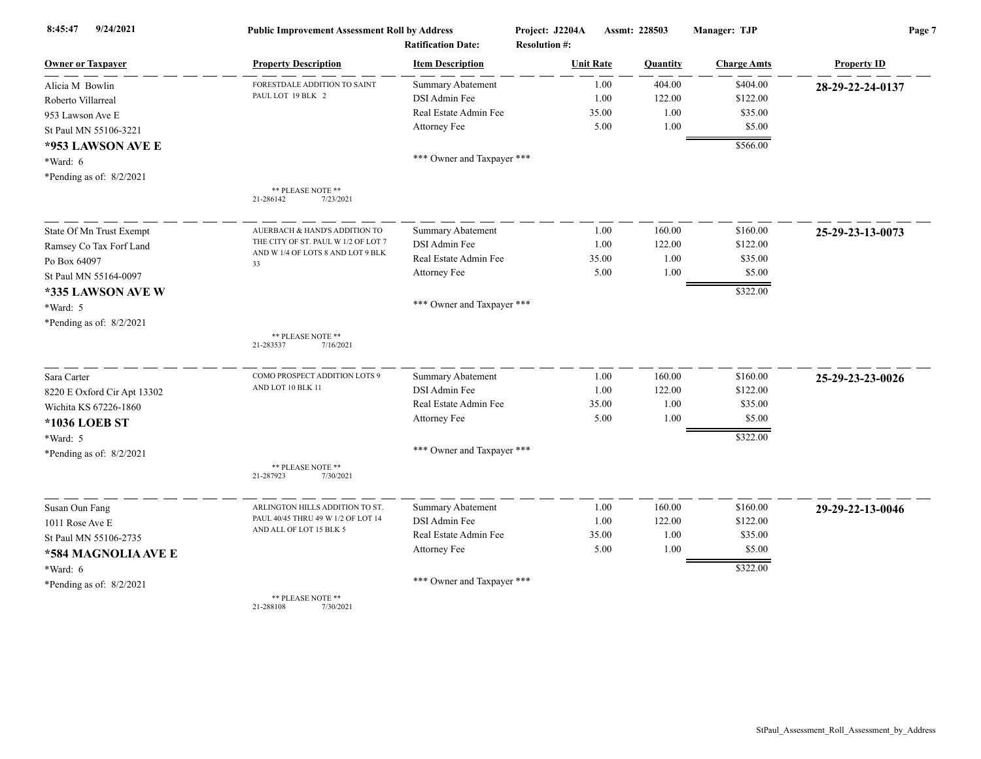| 9/24/2021<br>8:45:47        | <b>Public Improvement Assessment Roll by Address</b> |                                                      | Project: J2204A                          | Assmt: 228503 |          | Manager: TJP       | Page 7             |  |
|-----------------------------|------------------------------------------------------|------------------------------------------------------|------------------------------------------|---------------|----------|--------------------|--------------------|--|
| <b>Owner or Taxpayer</b>    | <b>Property Description</b>                          | <b>Ratification Date:</b><br><b>Item Description</b> | <b>Resolution #:</b><br><b>Unit Rate</b> |               | Quantity | <b>Charge Amts</b> | <b>Property ID</b> |  |
| Alicia M Bowlin             | FORESTDALE ADDITION TO SAINT                         | <b>Summary Abatement</b>                             |                                          | 1.00          | 404.00   | \$404.00           | 28-29-22-24-0137   |  |
| Roberto Villarreal          | PAUL LOT 19 BLK 2                                    | DSI Admin Fee                                        |                                          | 1.00          | 122.00   | \$122.00           |                    |  |
| 953 Lawson Ave E            |                                                      | Real Estate Admin Fee                                |                                          | 35.00         | 1.00     | \$35.00            |                    |  |
| St Paul MN 55106-3221       |                                                      | Attorney Fee                                         |                                          | 5.00          | 1.00     | \$5.00             |                    |  |
| *953 LAWSON AVE E           |                                                      |                                                      |                                          |               |          | \$566.00           |                    |  |
| *Ward: 6                    |                                                      | *** Owner and Taxpayer ***                           |                                          |               |          |                    |                    |  |
| *Pending as of: $8/2/2021$  |                                                      |                                                      |                                          |               |          |                    |                    |  |
|                             | ** PLEASE NOTE **<br>21-286142<br>7/23/2021          |                                                      |                                          |               |          |                    |                    |  |
| State Of Mn Trust Exempt    | AUERBACH & HAND'S ADDITION TO                        | <b>Summary Abatement</b>                             |                                          | 1.00          | 160.00   | \$160.00           | 25-29-23-13-0073   |  |
| Ramsey Co Tax Forf Land     | THE CITY OF ST. PAUL W 1/2 OF LOT 7                  | DSI Admin Fee                                        |                                          | 1.00          | 122.00   | \$122.00           |                    |  |
| Po Box 64097                | AND W 1/4 OF LOTS 8 AND LOT 9 BLK<br>33              | Real Estate Admin Fee                                |                                          | 35.00         | 1.00     | \$35.00            |                    |  |
| St Paul MN 55164-0097       |                                                      | Attorney Fee                                         |                                          | 5.00          | 1.00     | \$5.00             |                    |  |
| *335 LAWSON AVE W           |                                                      |                                                      |                                          |               |          | \$322.00           |                    |  |
| *Ward: 5                    |                                                      | *** Owner and Taxpayer ***                           |                                          |               |          |                    |                    |  |
| *Pending as of: $8/2/2021$  |                                                      |                                                      |                                          |               |          |                    |                    |  |
|                             | ** PLEASE NOTE **<br>21-283537<br>7/16/2021          |                                                      |                                          |               |          |                    |                    |  |
| Sara Carter                 | COMO PROSPECT ADDITION LOTS 9                        | <b>Summary Abatement</b>                             |                                          | 1.00          | 160.00   | \$160.00           | 25-29-23-23-0026   |  |
| 8220 E Oxford Cir Apt 13302 | AND LOT 10 BLK 11                                    | DSI Admin Fee                                        |                                          | 1.00          | 122.00   | \$122.00           |                    |  |
| Wichita KS 67226-1860       |                                                      | Real Estate Admin Fee                                |                                          | 35.00         | 1.00     | \$35.00            |                    |  |
| *1036 LOEB ST               |                                                      | Attorney Fee                                         |                                          | 5.00          | 1.00     | \$5.00             |                    |  |
| *Ward: 5                    |                                                      |                                                      |                                          |               |          | \$322.00           |                    |  |
| *Pending as of: $8/2/2021$  |                                                      | *** Owner and Taxpayer ***                           |                                          |               |          |                    |                    |  |
|                             | ** PLEASE NOTE **<br>21-287923<br>7/30/2021          |                                                      |                                          |               |          |                    |                    |  |
| Susan Oun Fang              | ARLINGTON HILLS ADDITION TO ST.                      | <b>Summary Abatement</b>                             |                                          | 1.00          | 160.00   | \$160.00           | 29-29-22-13-0046   |  |
| 1011 Rose Ave E             | PAUL 40/45 THRU 49 W 1/2 OF LOT 14                   | DSI Admin Fee                                        |                                          | 1.00          | 122.00   | \$122.00           |                    |  |
| St Paul MN 55106-2735       | AND ALL OF LOT 15 BLK 5                              | Real Estate Admin Fee                                |                                          | 35.00         | 1.00     | \$35.00            |                    |  |
| *584 MAGNOLIA AVE E         |                                                      | Attorney Fee                                         |                                          | 5.00          | 1.00     | \$5.00             |                    |  |
| *Ward: 6                    |                                                      |                                                      |                                          |               |          | \$322.00           |                    |  |
| *Pending as of: 8/2/2021    |                                                      | *** Owner and Taxpayer ***                           |                                          |               |          |                    |                    |  |
|                             | ** PLEASE NOTE **                                    |                                                      |                                          |               |          |                    |                    |  |

21-288108 7/30/2021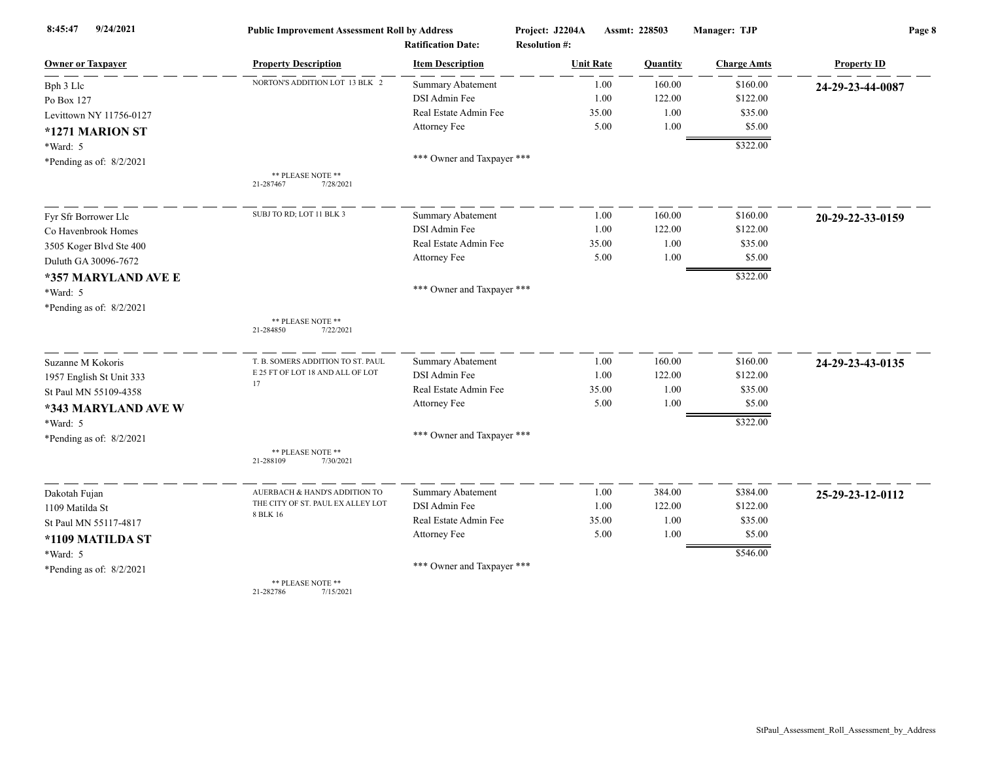| 9/24/2021<br>8:45:47       | <b>Public Improvement Assessment Roll by Address</b> |                                                      | Project: J2204A                          | Assmt: 228503 |          | Manager: TJP       | Page 8             |  |
|----------------------------|------------------------------------------------------|------------------------------------------------------|------------------------------------------|---------------|----------|--------------------|--------------------|--|
| <b>Owner or Taxpayer</b>   | <b>Property Description</b>                          | <b>Ratification Date:</b><br><b>Item Description</b> | <b>Resolution #:</b><br><b>Unit Rate</b> |               | Quantity | <b>Charge Amts</b> | <b>Property ID</b> |  |
| Bph 3 Llc                  | NORTON'S ADDITION LOT 13 BLK 2                       | Summary Abatement                                    |                                          | 1.00          | 160.00   | \$160.00           | 24-29-23-44-0087   |  |
| Po Box 127                 |                                                      | DSI Admin Fee                                        |                                          | 1.00          | 122.00   | \$122.00           |                    |  |
| Levittown NY 11756-0127    |                                                      | Real Estate Admin Fee                                |                                          | 35.00         | 1.00     | \$35.00            |                    |  |
| *1271 MARION ST            |                                                      | Attorney Fee                                         |                                          | 5.00          | 1.00     | \$5.00             |                    |  |
|                            |                                                      |                                                      |                                          |               |          | \$322.00           |                    |  |
| *Ward: 5                   |                                                      | *** Owner and Taxpayer ***                           |                                          |               |          |                    |                    |  |
| *Pending as of: $8/2/2021$ | ** PLEASE NOTE **<br>7/28/2021<br>21-287467          |                                                      |                                          |               |          |                    |                    |  |
| Fyr Sfr Borrower Llc       | SUBJ TO RD; LOT 11 BLK 3                             | <b>Summary Abatement</b>                             |                                          | 1.00          | 160.00   | \$160.00           | 20-29-22-33-0159   |  |
| Co Havenbrook Homes        |                                                      | DSI Admin Fee                                        |                                          | 1.00          | 122.00   | \$122.00           |                    |  |
| 3505 Koger Blvd Ste 400    |                                                      | Real Estate Admin Fee                                |                                          | 35.00         | 1.00     | \$35.00            |                    |  |
| Duluth GA 30096-7672       |                                                      | <b>Attorney Fee</b>                                  |                                          | 5.00          | 1.00     | \$5.00             |                    |  |
| *357 MARYLAND AVE E        |                                                      |                                                      |                                          |               |          | \$322.00           |                    |  |
| *Ward: 5                   |                                                      | *** Owner and Taxpayer ***                           |                                          |               |          |                    |                    |  |
| *Pending as of: $8/2/2021$ |                                                      |                                                      |                                          |               |          |                    |                    |  |
|                            | ** PLEASE NOTE **<br>21-284850<br>7/22/2021          |                                                      |                                          |               |          |                    |                    |  |
| Suzanne M Kokoris          | T. B. SOMERS ADDITION TO ST. PAUL                    | <b>Summary Abatement</b>                             |                                          | 1.00          | 160.00   | \$160.00           | 24-29-23-43-0135   |  |
| 1957 English St Unit 333   | E 25 FT OF LOT 18 AND ALL OF LOT<br>17               | DSI Admin Fee                                        |                                          | 1.00          | 122.00   | \$122.00           |                    |  |
| St Paul MN 55109-4358      |                                                      | Real Estate Admin Fee                                |                                          | 35.00         | 1.00     | \$35.00            |                    |  |
| *343 MARYLAND AVE W        |                                                      | Attorney Fee                                         |                                          | 5.00          | 1.00     | \$5.00             |                    |  |
| *Ward: 5                   |                                                      |                                                      |                                          |               |          | \$322.00           |                    |  |
| *Pending as of: $8/2/2021$ |                                                      | *** Owner and Taxpayer ***                           |                                          |               |          |                    |                    |  |
|                            | ** PLEASE NOTE **<br>21-288109<br>7/30/2021          |                                                      |                                          |               |          |                    |                    |  |
| Dakotah Fujan              | AUERBACH & HAND'S ADDITION TO                        | Summary Abatement                                    |                                          | 1.00          | 384.00   | \$384.00           | 25-29-23-12-0112   |  |
| 1109 Matilda St            | THE CITY OF ST. PAUL EX ALLEY LOT                    | DSI Admin Fee                                        |                                          | 1.00          | 122.00   | \$122.00           |                    |  |
| St Paul MN 55117-4817      | 8 BLK 16                                             | Real Estate Admin Fee                                |                                          | 35.00         | 1.00     | \$35.00            |                    |  |
| *1109 MATILDA ST           |                                                      | Attorney Fee                                         |                                          | 5.00          | 1.00     | \$5.00             |                    |  |
| *Ward: 5                   |                                                      |                                                      |                                          |               |          | \$546.00           |                    |  |
| *Pending as of: $8/2/2021$ |                                                      | *** Owner and Taxpayer ***                           |                                          |               |          |                    |                    |  |
|                            | ** PLEASE NOTE **<br>21-282786<br>7/15/2021          |                                                      |                                          |               |          |                    |                    |  |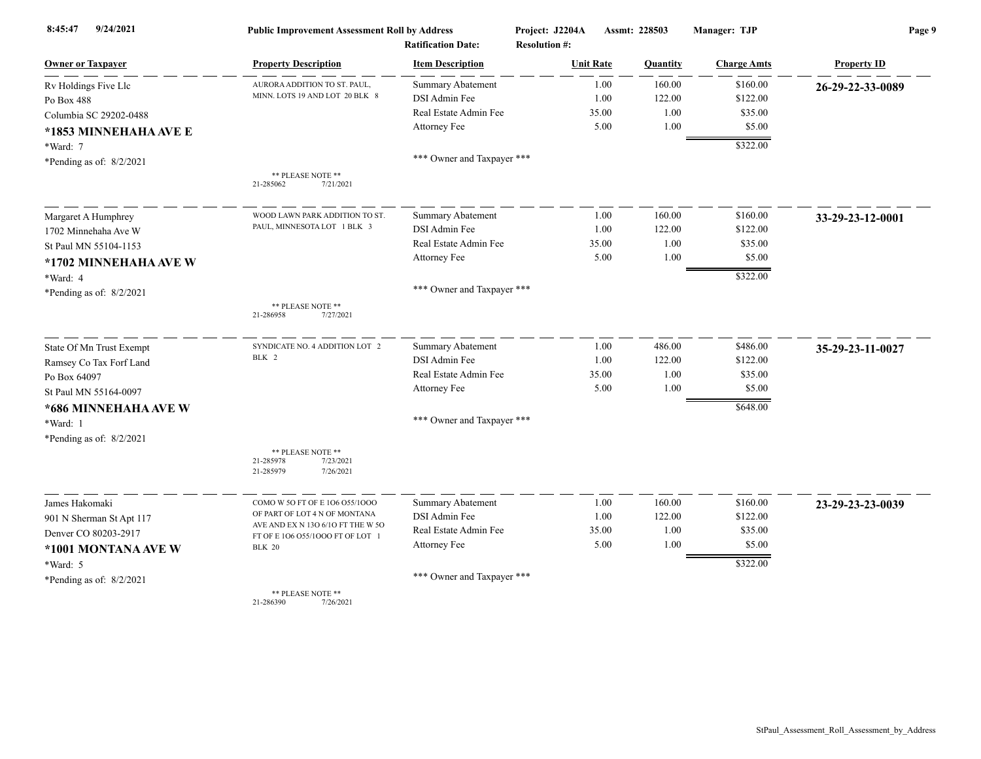| 9/24/2021<br>8:45:47       | <b>Public Improvement Assessment Roll by Address</b><br><b>Ratification Date:</b> |                            | Project: J2204A<br>Assmt: 228503<br><b>Resolution #:</b> |          | Manager: TJP       | Page 9             |  |
|----------------------------|-----------------------------------------------------------------------------------|----------------------------|----------------------------------------------------------|----------|--------------------|--------------------|--|
| <b>Owner or Taxpayer</b>   | <b>Property Description</b>                                                       | <b>Item Description</b>    | <b>Unit Rate</b>                                         | Quantity | <b>Charge Amts</b> | <b>Property ID</b> |  |
| Rv Holdings Five Llc       | AURORA ADDITION TO ST. PAUL,                                                      | <b>Summary Abatement</b>   | 1.00                                                     | 160.00   | \$160.00           | 26-29-22-33-0089   |  |
| Po Box 488                 | MINN. LOTS 19 AND LOT 20 BLK 8                                                    | DSI Admin Fee              | 1.00                                                     | 122.00   | \$122.00           |                    |  |
| Columbia SC 29202-0488     |                                                                                   | Real Estate Admin Fee      | 35.00                                                    | 1.00     | \$35.00            |                    |  |
| *1853 MINNEHAHA AVE E      |                                                                                   | Attorney Fee               | 5.00                                                     | 1.00     | \$5.00             |                    |  |
| *Ward: 7                   |                                                                                   |                            |                                                          |          | \$322.00           |                    |  |
| *Pending as of: $8/2/2021$ |                                                                                   | *** Owner and Taxpayer *** |                                                          |          |                    |                    |  |
|                            | ** PLEASE NOTE **                                                                 |                            |                                                          |          |                    |                    |  |
|                            | 21-285062<br>7/21/2021                                                            |                            |                                                          |          |                    |                    |  |
| Margaret A Humphrey        | WOOD LAWN PARK ADDITION TO ST.                                                    | <b>Summary Abatement</b>   | 1.00                                                     | 160.00   | \$160.00           | 33-29-23-12-0001   |  |
| 1702 Minnehaha Ave W       | PAUL, MINNESOTA LOT 1 BLK 3                                                       | DSI Admin Fee              | 1.00                                                     | 122.00   | \$122.00           |                    |  |
| St Paul MN 55104-1153      |                                                                                   | Real Estate Admin Fee      | 35.00                                                    | 1.00     | \$35.00            |                    |  |
| *1702 MINNEHAHA AVE W      |                                                                                   | Attorney Fee               | 5.00                                                     | 1.00     | \$5.00             |                    |  |
| *Ward: 4                   |                                                                                   |                            |                                                          |          | \$322.00           |                    |  |
| *Pending as of: 8/2/2021   |                                                                                   | *** Owner and Taxpayer *** |                                                          |          |                    |                    |  |
|                            | ** PLEASE NOTE **<br>21-286958<br>7/27/2021                                       |                            |                                                          |          |                    |                    |  |
| State Of Mn Trust Exempt   | SYNDICATE NO. 4 ADDITION LOT 2                                                    | Summary Abatement          | 1.00                                                     | 486.00   | \$486.00           | 35-29-23-11-0027   |  |
| Ramsey Co Tax Forf Land    | BLK 2                                                                             | DSI Admin Fee              | 1.00                                                     | 122.00   | \$122.00           |                    |  |
| Po Box 64097               |                                                                                   | Real Estate Admin Fee      | 35.00                                                    | 1.00     | \$35.00            |                    |  |
| St Paul MN 55164-0097      |                                                                                   | Attorney Fee               | 5.00                                                     | 1.00     | \$5.00             |                    |  |
| *686 MINNEHAHA AVE W       |                                                                                   |                            |                                                          |          | \$648.00           |                    |  |
| *Ward: 1                   |                                                                                   | *** Owner and Taxpayer *** |                                                          |          |                    |                    |  |
| *Pending as of: $8/2/2021$ |                                                                                   |                            |                                                          |          |                    |                    |  |
|                            | ** PLEASE NOTE **<br>21-285978<br>7/23/2021                                       |                            |                                                          |          |                    |                    |  |
|                            | 21-285979<br>7/26/2021                                                            |                            |                                                          |          |                    |                    |  |
| James Hakomaki             | COMO W 50 FT OF E 106 055/1000                                                    | Summary Abatement          | 1.00                                                     | 160.00   | \$160.00           | 23-29-23-23-0039   |  |
| 901 N Sherman St Apt 117   | OF PART OF LOT 4 N OF MONTANA                                                     | DSI Admin Fee              | 1.00                                                     | 122.00   | \$122.00           |                    |  |
| Denver CO 80203-2917       | AVE AND EX N 13O 6/1O FT THE W 5O<br>FT OF E 106 055/1000 FT OF LOT 1             | Real Estate Admin Fee      | 35.00                                                    | 1.00     | \$35.00            |                    |  |
| *1001 MONTANA AVE W        | <b>BLK 20</b>                                                                     | Attorney Fee               | 5.00                                                     | 1.00     | \$5.00             |                    |  |
| $*Ward: 5$                 |                                                                                   |                            |                                                          |          | \$322.00           |                    |  |
| *Pending as of: $8/2/2021$ |                                                                                   | *** Owner and Taxpayer *** |                                                          |          |                    |                    |  |
|                            | ** PLEASE NOTE **<br>21-286390<br>7/26/2021                                       |                            |                                                          |          |                    |                    |  |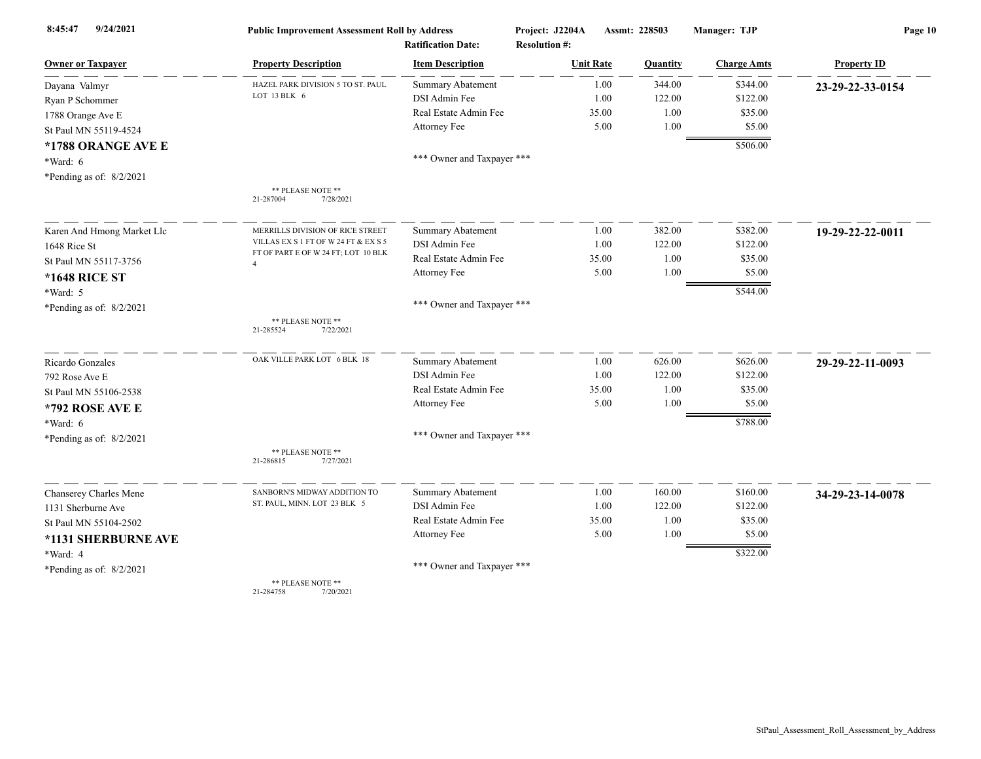| 9/24/2021<br>8:45:47       | <b>Public Improvement Assessment Roll by Address</b><br><b>Ratification Date:</b> |                            | Project: J2204A<br><b>Resolution #:</b> | Assmt: 228503 |                    | Page 10            |  |
|----------------------------|-----------------------------------------------------------------------------------|----------------------------|-----------------------------------------|---------------|--------------------|--------------------|--|
| <b>Owner or Taxpayer</b>   | <b>Property Description</b>                                                       | <b>Item Description</b>    | <b>Unit Rate</b>                        | Quantity      | <b>Charge Amts</b> | <b>Property ID</b> |  |
| Dayana Valmyr              | HAZEL PARK DIVISION 5 TO ST. PAUL                                                 | <b>Summary Abatement</b>   | 1.00                                    | 344.00        | \$344.00           | 23-29-22-33-0154   |  |
| Ryan P Schommer            | LOT 13 BLK 6                                                                      | DSI Admin Fee              | 1.00                                    | 122.00        | \$122.00           |                    |  |
| 1788 Orange Ave E          |                                                                                   | Real Estate Admin Fee      | 35.00                                   | 1.00          | \$35.00            |                    |  |
| St Paul MN 55119-4524      |                                                                                   | Attorney Fee               | 5.00                                    | 1.00          | \$5.00             |                    |  |
| *1788 ORANGE AVE E         |                                                                                   |                            |                                         |               | \$506.00           |                    |  |
| *Ward: 6                   |                                                                                   | *** Owner and Taxpayer *** |                                         |               |                    |                    |  |
| *Pending as of: $8/2/2021$ |                                                                                   |                            |                                         |               |                    |                    |  |
|                            | ** PLEASE NOTE **<br>21-287004<br>7/28/2021                                       |                            |                                         |               |                    |                    |  |
| Karen And Hmong Market Llc | MERRILLS DIVISION OF RICE STREET                                                  | <b>Summary Abatement</b>   | 1.00                                    | 382.00        | \$382.00           | 19-29-22-22-0011   |  |
| 1648 Rice St               | VILLAS EX S 1 FT OF W 24 FT & EX S 5                                              | DSI Admin Fee              | 1.00                                    | 122.00        | \$122.00           |                    |  |
| St Paul MN 55117-3756      | FT OF PART E OF W 24 FT; LOT 10 BLK<br>$\overline{4}$                             | Real Estate Admin Fee      | 35.00                                   | 1.00          | \$35.00            |                    |  |
| *1648 RICE ST              |                                                                                   | Attorney Fee               | 5.00                                    | 1.00          | \$5.00             |                    |  |
| *Ward: 5                   |                                                                                   |                            |                                         |               | \$544.00           |                    |  |
| *Pending as of: 8/2/2021   |                                                                                   | *** Owner and Taxpayer *** |                                         |               |                    |                    |  |
|                            | ** PLEASE NOTE **<br>7/22/2021<br>21-285524                                       |                            |                                         |               |                    |                    |  |
| Ricardo Gonzales           | OAK VILLE PARK LOT 6 BLK 18                                                       | Summary Abatement          | 1.00                                    | 626.00        | \$626.00           | 29-29-22-11-0093   |  |
| 792 Rose Ave E             |                                                                                   | DSI Admin Fee              | 1.00                                    | 122.00        | \$122.00           |                    |  |
| St Paul MN 55106-2538      |                                                                                   | Real Estate Admin Fee      | 35.00                                   | 1.00          | \$35.00            |                    |  |
| *792 ROSE AVE E            |                                                                                   | Attorney Fee               | 5.00                                    | 1.00          | \$5.00             |                    |  |
| *Ward: 6                   |                                                                                   |                            |                                         |               | \$788.00           |                    |  |
| *Pending as of: 8/2/2021   |                                                                                   | *** Owner and Taxpayer *** |                                         |               |                    |                    |  |
|                            | ** PLEASE NOTE **<br>21-286815<br>7/27/2021                                       |                            |                                         |               |                    |                    |  |
| Chanserey Charles Mene     | SANBORN'S MIDWAY ADDITION TO                                                      | Summary Abatement          | 1.00                                    | 160.00        | \$160.00           | 34-29-23-14-0078   |  |
| 1131 Sherburne Ave         | ST. PAUL, MINN. LOT 23 BLK 5                                                      | DSI Admin Fee              | 1.00                                    | 122.00        | \$122.00           |                    |  |
| St Paul MN 55104-2502      |                                                                                   | Real Estate Admin Fee      | 35.00                                   | 1.00          | \$35.00            |                    |  |
| *1131 SHERBURNE AVE        |                                                                                   | Attorney Fee               | 5.00                                    | 1.00          | \$5.00             |                    |  |
| *Ward: 4                   |                                                                                   |                            |                                         |               | \$322.00           |                    |  |
| *Pending as of: 8/2/2021   |                                                                                   | *** Owner and Taxpayer *** |                                         |               |                    |                    |  |
|                            | ** PLEASE NOTE **<br>21-284758<br>7/20/2021                                       |                            |                                         |               |                    |                    |  |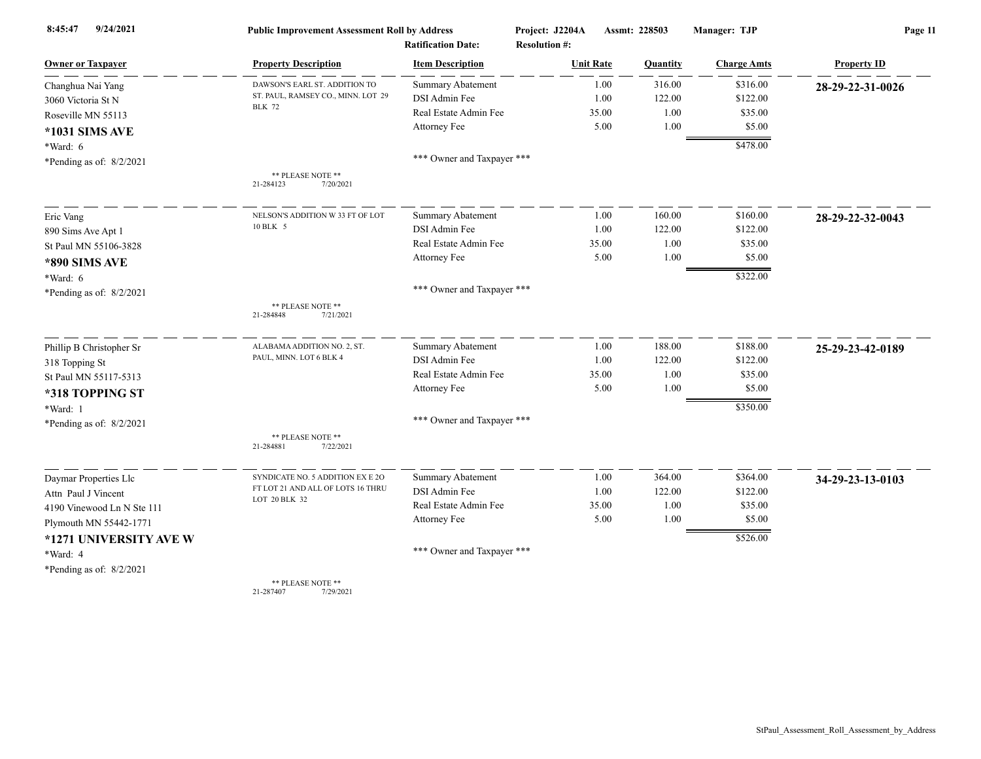| 9/24/2021<br>8:45:47       | <b>Public Improvement Assessment Roll by Address</b><br><b>Ratification Date:</b> |                            | Project: J2204A      | Assmt: 228503 |        | Manager: TJP       | Page 11            |  |
|----------------------------|-----------------------------------------------------------------------------------|----------------------------|----------------------|---------------|--------|--------------------|--------------------|--|
|                            |                                                                                   |                            | <b>Resolution #:</b> |               |        |                    |                    |  |
| <b>Owner or Taxpayer</b>   | <b>Property Description</b>                                                       | <b>Item Description</b>    | <b>Unit Rate</b>     | Quantity      |        | <b>Charge Amts</b> | <b>Property ID</b> |  |
| Changhua Nai Yang          | DAWSON'S EARL ST. ADDITION TO                                                     | <b>Summary Abatement</b>   |                      | 1.00          | 316.00 | \$316.00           | 28-29-22-31-0026   |  |
| 3060 Victoria St N         | ST. PAUL, RAMSEY CO., MINN. LOT 29<br><b>BLK 72</b>                               | DSI Admin Fee              |                      | 1.00          | 122.00 | \$122.00           |                    |  |
| Roseville MN 55113         |                                                                                   | Real Estate Admin Fee      | 35.00                |               | 1.00   | \$35.00            |                    |  |
| *1031 SIMS AVE             |                                                                                   | Attorney Fee               |                      | 5.00          | 1.00   | \$5.00             |                    |  |
| *Ward: 6                   |                                                                                   |                            |                      |               |        | \$478.00           |                    |  |
| *Pending as of: $8/2/2021$ |                                                                                   | *** Owner and Taxpayer *** |                      |               |        |                    |                    |  |
|                            | ** PLEASE NOTE **<br>21-284123<br>7/20/2021                                       |                            |                      |               |        |                    |                    |  |
| Eric Vang                  | NELSON'S ADDITION W 33 FT OF LOT                                                  | <b>Summary Abatement</b>   |                      | 1.00          | 160.00 | \$160.00           | 28-29-22-32-0043   |  |
| 890 Sims Ave Apt 1         | 10 BLK 5                                                                          | DSI Admin Fee              |                      | 1.00          | 122.00 | \$122.00           |                    |  |
| St Paul MN 55106-3828      |                                                                                   | Real Estate Admin Fee      | 35.00                |               | 1.00   | \$35.00            |                    |  |
| *890 SIMS AVE              |                                                                                   | Attorney Fee               |                      | 5.00          | 1.00   | \$5.00             |                    |  |
| *Ward: 6                   |                                                                                   |                            |                      |               |        | \$322.00           |                    |  |
| *Pending as of: $8/2/2021$ |                                                                                   | *** Owner and Taxpayer *** |                      |               |        |                    |                    |  |
|                            | ** PLEASE NOTE **<br>7/21/2021<br>21-284848                                       |                            |                      |               |        |                    |                    |  |
| Phillip B Christopher Sr   | ALABAMA ADDITION NO. 2, ST.                                                       | <b>Summary Abatement</b>   |                      | 1.00          | 188.00 | \$188.00           | 25-29-23-42-0189   |  |
| 318 Topping St             | PAUL, MINN. LOT 6 BLK 4                                                           | DSI Admin Fee              |                      | 1.00          | 122.00 | \$122.00           |                    |  |
| St Paul MN 55117-5313      |                                                                                   | Real Estate Admin Fee      |                      | 35.00         | 1.00   | \$35.00            |                    |  |
| *318 TOPPING ST            |                                                                                   | Attorney Fee               |                      | 5.00          | 1.00   | \$5.00             |                    |  |
| *Ward: 1                   |                                                                                   |                            |                      |               |        | \$350.00           |                    |  |
| *Pending as of: 8/2/2021   |                                                                                   | *** Owner and Taxpayer *** |                      |               |        |                    |                    |  |
|                            | ** PLEASE NOTE **<br>21-284881<br>7/22/2021                                       |                            |                      |               |        |                    |                    |  |
| Daymar Properties Llc      | SYNDICATE NO. 5 ADDITION EX E 2O                                                  | <b>Summary Abatement</b>   |                      | 1.00          | 364.00 | \$364.00           | 34-29-23-13-0103   |  |
| Attn Paul J Vincent        | FT LOT 21 AND ALL OF LOTS 16 THRU                                                 | DSI Admin Fee              |                      | 1.00          | 122.00 | \$122.00           |                    |  |
| 4190 Vinewood Ln N Ste 111 | LOT 20 BLK 32                                                                     | Real Estate Admin Fee      |                      | 35.00         | 1.00   | \$35.00            |                    |  |
| Plymouth MN 55442-1771     |                                                                                   | Attorney Fee               |                      | 5.00          | 1.00   | \$5.00             |                    |  |
| *1271 UNIVERSITY AVE W     |                                                                                   |                            |                      |               |        | \$526.00           |                    |  |
| *Ward: 4                   |                                                                                   | *** Owner and Taxpayer *** |                      |               |        |                    |                    |  |
| *Pending as of: $8/2/2021$ |                                                                                   |                            |                      |               |        |                    |                    |  |
|                            | ** PLEASE NOTE **                                                                 |                            |                      |               |        |                    |                    |  |

21-287407 7/29/2021